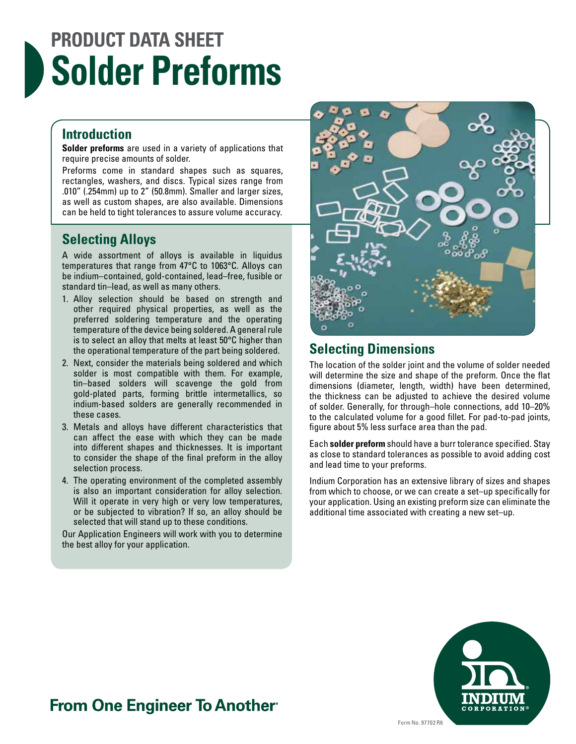# **PRODUCT DATA SHEET Solder Preforms**

#### **Introduction**

**Solder preforms** are used in a variety of applications that require precise amounts of solder.

Preforms come in standard shapes such as squares, rectangles, washers, and discs. Typical sizes range from .010" (.254mm) up to 2" (50.8mm). Smaller and larger sizes, as well as custom shapes, are also available. Dimensions can be held to tight tolerances to assure volume accuracy.

#### **Selecting Alloys**

A wide assortment of alloys is available in liquidus temperatures that range from 47°C to 1063°C. Alloys can be indium–contained, gold-contained, lead–free, fusible or standard tin–lead, as well as many others.

- 1. Alloy selection should be based on strength and other required physical properties, as well as the preferred soldering temperature and the operating temperature of the device being soldered. A general rule is to select an alloy that melts at least 50°C higher than the operational temperature of the part being soldered.
- 2. Next, consider the materials being soldered and which solder is most compatible with them. For example, tin–based solders will scavenge the gold from gold-plated parts, forming brittle intermetallics, so indium-based solders are generally recommended in these cases.
- 3. Metals and alloys have different characteristics that can affect the ease with which they can be made into different shapes and thicknesses. It is important to consider the shape of the final preform in the alloy selection process.
- 4. The operating environment of the completed assembly is also an important consideration for alloy selection. Will it operate in very high or very low temperatures, or be subjected to vibration? If so, an alloy should be selected that will stand up to these conditions.

Our Application Engineers will work with you to determine the best alloy for your application.



### **Selecting Dimensions**

The location of the solder joint and the volume of solder needed will determine the size and shape of the preform. Once the flat dimensions (diameter, length, width) have been determined, the thickness can be adjusted to achieve the desired volume of solder. Generally, for through–hole connections, add 10–20% to the calculated volume for a good fillet. For pad-to-pad joints, figure about 5% less surface area than the pad.

Each **solder preform** should have a burr tolerance specified. Stay as close to standard tolerances as possible to avoid adding cost and lead time to your preforms.

Indium Corporation has an extensive library of sizes and shapes from which to choose, or we can create a set–up specifically for your application. Using an existing preform size can eliminate the additional time associated with creating a new set–up.



## **From One Engineer To Another**